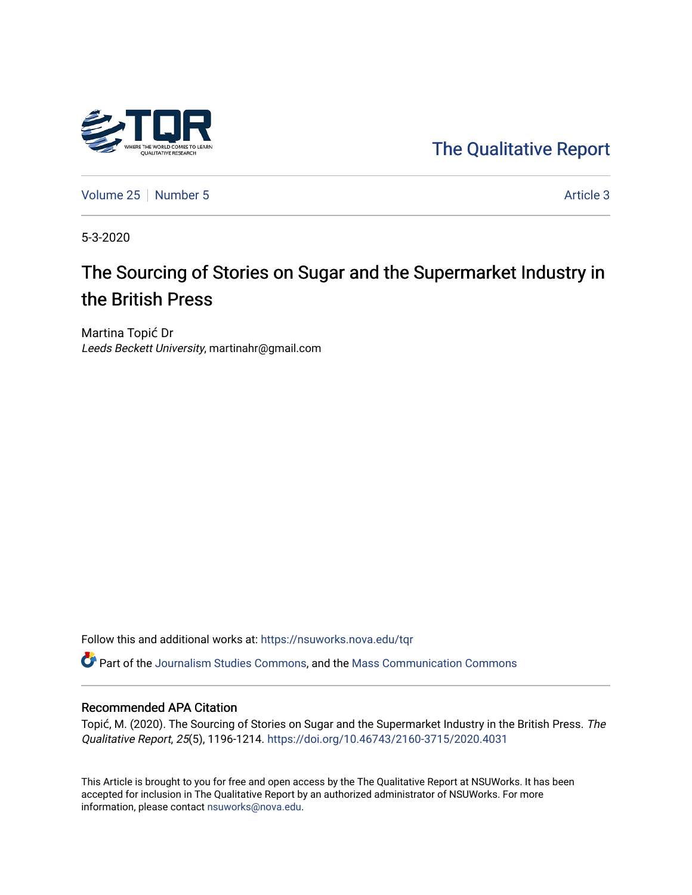

[The Qualitative Report](https://nsuworks.nova.edu/tqr) 

[Volume 25](https://nsuworks.nova.edu/tqr/vol25) [Number 5](https://nsuworks.nova.edu/tqr/vol25/iss5) Article 3

5-3-2020

# The Sourcing of Stories on Sugar and the Supermarket Industry in the British Press

Martina Topić Dr Leeds Beckett University, martinahr@gmail.com

Follow this and additional works at: [https://nsuworks.nova.edu/tqr](https://nsuworks.nova.edu/tqr?utm_source=nsuworks.nova.edu%2Ftqr%2Fvol25%2Fiss5%2F3&utm_medium=PDF&utm_campaign=PDFCoverPages) 

Part of the [Journalism Studies Commons](http://network.bepress.com/hgg/discipline/333?utm_source=nsuworks.nova.edu%2Ftqr%2Fvol25%2Fiss5%2F3&utm_medium=PDF&utm_campaign=PDFCoverPages), and the [Mass Communication Commons](http://network.bepress.com/hgg/discipline/334?utm_source=nsuworks.nova.edu%2Ftqr%2Fvol25%2Fiss5%2F3&utm_medium=PDF&utm_campaign=PDFCoverPages) 

#### Recommended APA Citation

Topić, M. (2020). The Sourcing of Stories on Sugar and the Supermarket Industry in the British Press. The Qualitative Report, 25(5), 1196-1214. <https://doi.org/10.46743/2160-3715/2020.4031>

This Article is brought to you for free and open access by the The Qualitative Report at NSUWorks. It has been accepted for inclusion in The Qualitative Report by an authorized administrator of NSUWorks. For more information, please contact [nsuworks@nova.edu.](mailto:nsuworks@nova.edu)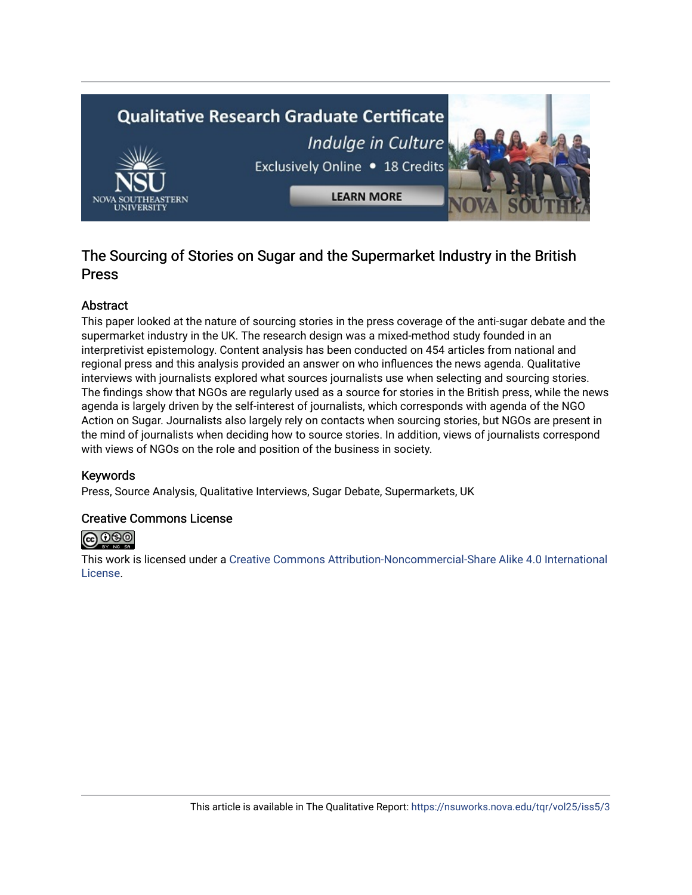

# The Sourcing of Stories on Sugar and the Supermarket Industry in the British Press

# Abstract

This paper looked at the nature of sourcing stories in the press coverage of the anti-sugar debate and the supermarket industry in the UK. The research design was a mixed-method study founded in an interpretivist epistemology. Content analysis has been conducted on 454 articles from national and regional press and this analysis provided an answer on who influences the news agenda. Qualitative interviews with journalists explored what sources journalists use when selecting and sourcing stories. The findings show that NGOs are regularly used as a source for stories in the British press, while the news agenda is largely driven by the self-interest of journalists, which corresponds with agenda of the NGO Action on Sugar. Journalists also largely rely on contacts when sourcing stories, but NGOs are present in the mind of journalists when deciding how to source stories. In addition, views of journalists correspond with views of NGOs on the role and position of the business in society.

## Keywords

Press, Source Analysis, Qualitative Interviews, Sugar Debate, Supermarkets, UK

## Creative Commons License



This work is licensed under a [Creative Commons Attribution-Noncommercial-Share Alike 4.0 International](https://creativecommons.org/licenses/by-nc-sa/4.0/)  [License](https://creativecommons.org/licenses/by-nc-sa/4.0/).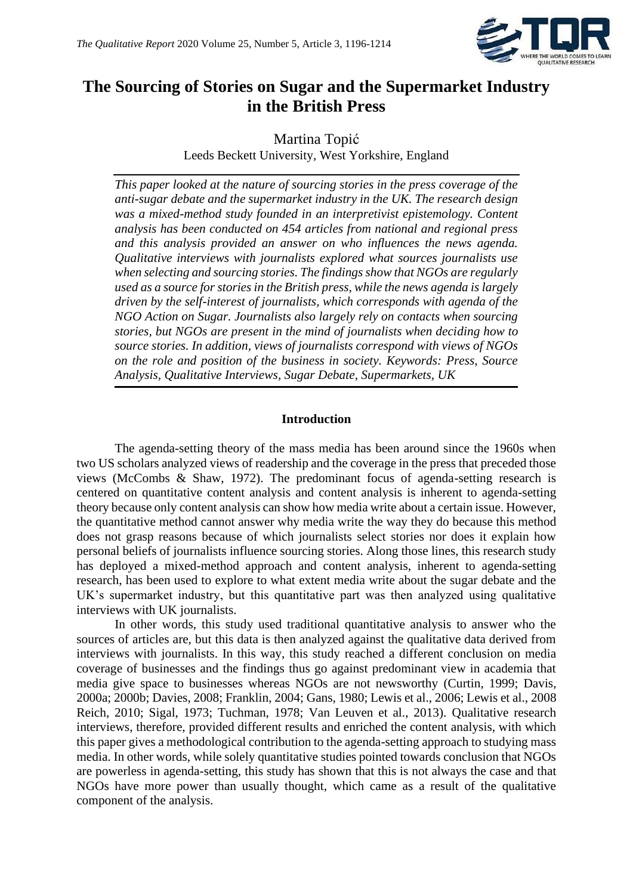

# **The Sourcing of Stories on Sugar and the Supermarket Industry in the British Press**

Martina Topić Leeds Beckett University, West Yorkshire, England

*This paper looked at the nature of sourcing stories in the press coverage of the anti-sugar debate and the supermarket industry in the UK. The research design was a mixed-method study founded in an interpretivist epistemology. Content analysis has been conducted on 454 articles from national and regional press and this analysis provided an answer on who influences the news agenda. Qualitative interviews with journalists explored what sources journalists use when selecting and sourcing stories. The findings show that NGOs are regularly used as a source for stories in the British press, while the news agenda is largely driven by the self-interest of journalists, which corresponds with agenda of the NGO Action on Sugar. Journalists also largely rely on contacts when sourcing stories, but NGOs are present in the mind of journalists when deciding how to source stories. In addition, views of journalists correspond with views of NGOs on the role and position of the business in society. Keywords: Press, Source Analysis, Qualitative Interviews, Sugar Debate, Supermarkets, UK*

#### **Introduction**

The agenda-setting theory of the mass media has been around since the 1960s when two US scholars analyzed views of readership and the coverage in the press that preceded those views (McCombs & Shaw, 1972). The predominant focus of agenda-setting research is centered on quantitative content analysis and content analysis is inherent to agenda-setting theory because only content analysis can show how media write about a certain issue. However, the quantitative method cannot answer why media write the way they do because this method does not grasp reasons because of which journalists select stories nor does it explain how personal beliefs of journalists influence sourcing stories. Along those lines, this research study has deployed a mixed-method approach and content analysis, inherent to agenda-setting research, has been used to explore to what extent media write about the sugar debate and the UK's supermarket industry, but this quantitative part was then analyzed using qualitative interviews with UK journalists.

In other words, this study used traditional quantitative analysis to answer who the sources of articles are, but this data is then analyzed against the qualitative data derived from interviews with journalists. In this way, this study reached a different conclusion on media coverage of businesses and the findings thus go against predominant view in academia that media give space to businesses whereas NGOs are not newsworthy (Curtin, 1999; Davis, 2000a; 2000b; Davies, 2008; Franklin, 2004; Gans, 1980; Lewis et al., 2006; Lewis et al., 2008 Reich, 2010; Sigal, 1973; Tuchman, 1978; Van Leuven et al., 2013). Qualitative research interviews, therefore, provided different results and enriched the content analysis, with which this paper gives a methodological contribution to the agenda-setting approach to studying mass media. In other words, while solely quantitative studies pointed towards conclusion that NGOs are powerless in agenda-setting, this study has shown that this is not always the case and that NGOs have more power than usually thought, which came as a result of the qualitative component of the analysis.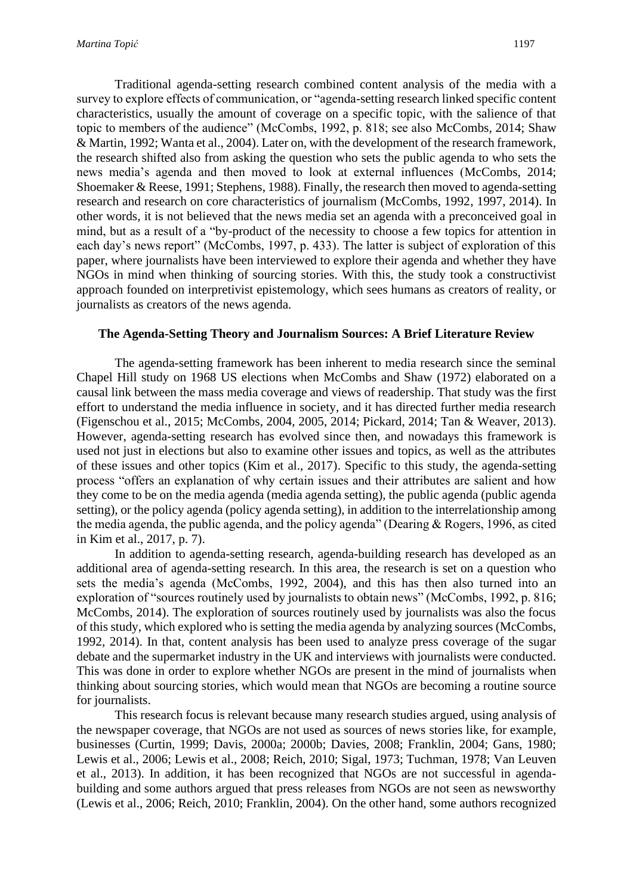Traditional agenda-setting research combined content analysis of the media with a survey to explore effects of communication, or "agenda-setting research linked specific content characteristics, usually the amount of coverage on a specific topic, with the salience of that topic to members of the audience" (McCombs, 1992, p. 818; see also McCombs, 2014; Shaw & Martin, 1992; Wanta et al., 2004). Later on, with the development of the research framework, the research shifted also from asking the question who sets the public agenda to who sets the news media's agenda and then moved to look at external influences (McCombs, 2014; Shoemaker & Reese, 1991; Stephens, 1988). Finally, the research then moved to agenda-setting research and research on core characteristics of journalism (McCombs, 1992, 1997, 2014). In other words, it is not believed that the news media set an agenda with a preconceived goal in mind, but as a result of a "by-product of the necessity to choose a few topics for attention in each day's news report" (McCombs, 1997, p. 433). The latter is subject of exploration of this paper, where journalists have been interviewed to explore their agenda and whether they have NGOs in mind when thinking of sourcing stories. With this, the study took a constructivist approach founded on interpretivist epistemology, which sees humans as creators of reality, or journalists as creators of the news agenda.

#### **The Agenda-Setting Theory and Journalism Sources: A Brief Literature Review**

The agenda-setting framework has been inherent to media research since the seminal Chapel Hill study on 1968 US elections when McCombs and Shaw (1972) elaborated on a causal link between the mass media coverage and views of readership. That study was the first effort to understand the media influence in society, and it has directed further media research (Figenschou et al., 2015; McCombs, 2004, 2005, 2014; Pickard, 2014; Tan & Weaver, 2013). However, agenda-setting research has evolved since then, and nowadays this framework is used not just in elections but also to examine other issues and topics, as well as the attributes of these issues and other topics (Kim et al., 2017). Specific to this study, the agenda-setting process "offers an explanation of why certain issues and their attributes are salient and how they come to be on the media agenda (media agenda setting), the public agenda (public agenda setting), or the policy agenda (policy agenda setting), in addition to the interrelationship among the media agenda, the public agenda, and the policy agenda" (Dearing & Rogers, 1996, as cited in Kim et al., 2017, p. 7).

In addition to agenda-setting research, agenda-building research has developed as an additional area of agenda-setting research. In this area, the research is set on a question who sets the media's agenda (McCombs, 1992, 2004), and this has then also turned into an exploration of "sources routinely used by journalists to obtain news" (McCombs, 1992, p. 816; McCombs, 2014). The exploration of sources routinely used by journalists was also the focus of this study, which explored who is setting the media agenda by analyzing sources (McCombs, 1992, 2014). In that, content analysis has been used to analyze press coverage of the sugar debate and the supermarket industry in the UK and interviews with journalists were conducted. This was done in order to explore whether NGOs are present in the mind of journalists when thinking about sourcing stories, which would mean that NGOs are becoming a routine source for journalists.

This research focus is relevant because many research studies argued, using analysis of the newspaper coverage, that NGOs are not used as sources of news stories like, for example, businesses (Curtin, 1999; Davis, 2000a; 2000b; Davies, 2008; Franklin, 2004; Gans, 1980; Lewis et al., 2006; Lewis et al., 2008; Reich, 2010; Sigal, 1973; Tuchman, 1978; Van Leuven et al., 2013). In addition, it has been recognized that NGOs are not successful in agendabuilding and some authors argued that press releases from NGOs are not seen as newsworthy (Lewis et al., 2006; Reich, 2010; Franklin, 2004). On the other hand, some authors recognized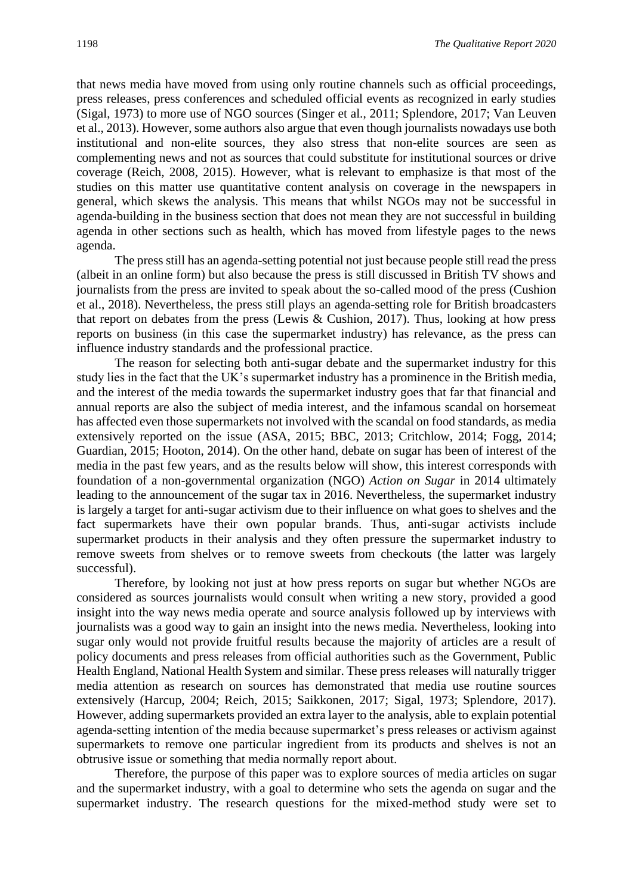that news media have moved from using only routine channels such as official proceedings, press releases, press conferences and scheduled official events as recognized in early studies (Sigal, 1973) to more use of NGO sources (Singer et al., 2011; Splendore, 2017; Van Leuven et al., 2013). However, some authors also argue that even though journalists nowadays use both institutional and non-elite sources, they also stress that non-elite sources are seen as complementing news and not as sources that could substitute for institutional sources or drive coverage (Reich, 2008, 2015). However, what is relevant to emphasize is that most of the studies on this matter use quantitative content analysis on coverage in the newspapers in general, which skews the analysis. This means that whilst NGOs may not be successful in agenda-building in the business section that does not mean they are not successful in building agenda in other sections such as health, which has moved from lifestyle pages to the news agenda.

The press still has an agenda-setting potential not just because people still read the press (albeit in an online form) but also because the press is still discussed in British TV shows and journalists from the press are invited to speak about the so-called mood of the press (Cushion et al., 2018). Nevertheless, the press still plays an agenda-setting role for British broadcasters that report on debates from the press (Lewis & Cushion, 2017). Thus, looking at how press reports on business (in this case the supermarket industry) has relevance, as the press can influence industry standards and the professional practice.

The reason for selecting both anti-sugar debate and the supermarket industry for this study lies in the fact that the UK's supermarket industry has a prominence in the British media, and the interest of the media towards the supermarket industry goes that far that financial and annual reports are also the subject of media interest, and the infamous scandal on horsemeat has affected even those supermarkets not involved with the scandal on food standards, as media extensively reported on the issue (ASA, 2015; BBC, 2013; Critchlow, 2014; Fogg, 2014; Guardian, 2015; Hooton, 2014). On the other hand, debate on sugar has been of interest of the media in the past few years, and as the results below will show, this interest corresponds with foundation of a non-governmental organization (NGO) *Action on Sugar* in 2014 ultimately leading to the announcement of the sugar tax in 2016. Nevertheless, the supermarket industry is largely a target for anti-sugar activism due to their influence on what goes to shelves and the fact supermarkets have their own popular brands. Thus, anti-sugar activists include supermarket products in their analysis and they often pressure the supermarket industry to remove sweets from shelves or to remove sweets from checkouts (the latter was largely successful).

Therefore, by looking not just at how press reports on sugar but whether NGOs are considered as sources journalists would consult when writing a new story, provided a good insight into the way news media operate and source analysis followed up by interviews with journalists was a good way to gain an insight into the news media. Nevertheless, looking into sugar only would not provide fruitful results because the majority of articles are a result of policy documents and press releases from official authorities such as the Government, Public Health England, National Health System and similar. These press releases will naturally trigger media attention as research on sources has demonstrated that media use routine sources extensively (Harcup, 2004; Reich, 2015; Saikkonen, 2017; Sigal, 1973; Splendore, 2017). However, adding supermarkets provided an extra layer to the analysis, able to explain potential agenda-setting intention of the media because supermarket's press releases or activism against supermarkets to remove one particular ingredient from its products and shelves is not an obtrusive issue or something that media normally report about.

Therefore, the purpose of this paper was to explore sources of media articles on sugar and the supermarket industry, with a goal to determine who sets the agenda on sugar and the supermarket industry. The research questions for the mixed-method study were set to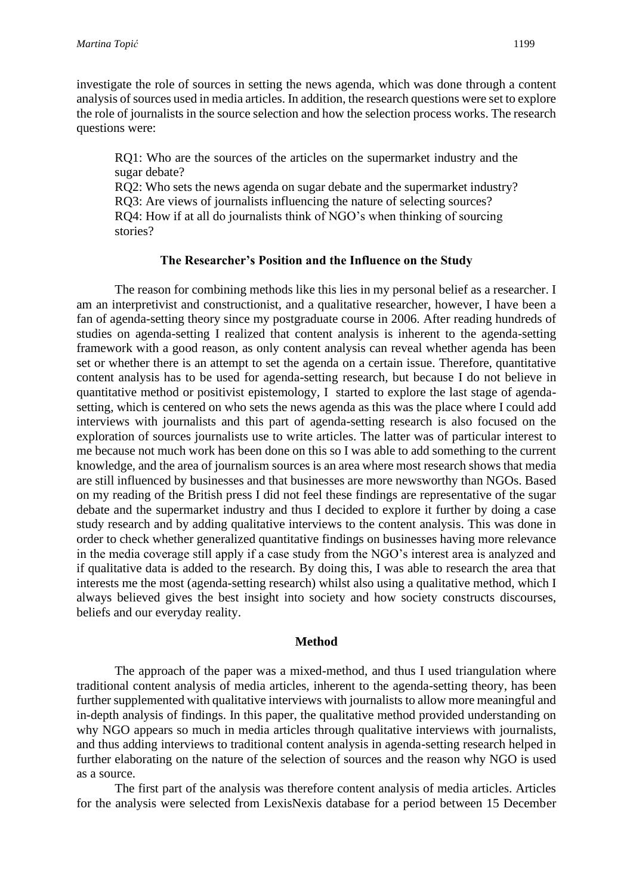investigate the role of sources in setting the news agenda, which was done through a content analysis of sources used in media articles. In addition, the research questions were set to explore the role of journalists in the source selection and how the selection process works. The research questions were:

RQ1: Who are the sources of the articles on the supermarket industry and the sugar debate?

RQ2: Who sets the news agenda on sugar debate and the supermarket industry? RQ3: Are views of journalists influencing the nature of selecting sources? RQ4: How if at all do journalists think of NGO's when thinking of sourcing stories?

#### **The Researcher's Position and the Influence on the Study**

The reason for combining methods like this lies in my personal belief as a researcher. I am an interpretivist and constructionist, and a qualitative researcher, however, I have been a fan of agenda-setting theory since my postgraduate course in 2006. After reading hundreds of studies on agenda-setting I realized that content analysis is inherent to the agenda-setting framework with a good reason, as only content analysis can reveal whether agenda has been set or whether there is an attempt to set the agenda on a certain issue. Therefore, quantitative content analysis has to be used for agenda-setting research, but because I do not believe in quantitative method or positivist epistemology, I started to explore the last stage of agendasetting, which is centered on who sets the news agenda as this was the place where I could add interviews with journalists and this part of agenda-setting research is also focused on the exploration of sources journalists use to write articles. The latter was of particular interest to me because not much work has been done on this so I was able to add something to the current knowledge, and the area of journalism sources is an area where most research shows that media are still influenced by businesses and that businesses are more newsworthy than NGOs. Based on my reading of the British press I did not feel these findings are representative of the sugar debate and the supermarket industry and thus I decided to explore it further by doing a case study research and by adding qualitative interviews to the content analysis. This was done in order to check whether generalized quantitative findings on businesses having more relevance in the media coverage still apply if a case study from the NGO's interest area is analyzed and if qualitative data is added to the research. By doing this, I was able to research the area that interests me the most (agenda-setting research) whilst also using a qualitative method, which I always believed gives the best insight into society and how society constructs discourses, beliefs and our everyday reality.

#### **Method**

The approach of the paper was a mixed-method, and thus I used triangulation where traditional content analysis of media articles, inherent to the agenda-setting theory, has been further supplemented with qualitative interviews with journalists to allow more meaningful and in-depth analysis of findings. In this paper, the qualitative method provided understanding on why NGO appears so much in media articles through qualitative interviews with journalists, and thus adding interviews to traditional content analysis in agenda-setting research helped in further elaborating on the nature of the selection of sources and the reason why NGO is used as a source.

The first part of the analysis was therefore content analysis of media articles. Articles for the analysis were selected from LexisNexis database for a period between 15 December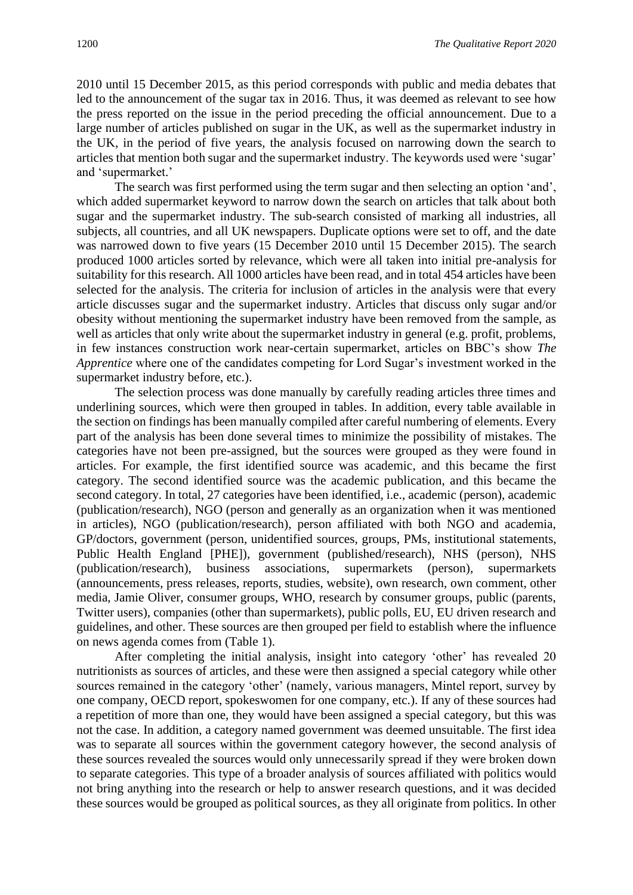2010 until 15 December 2015, as this period corresponds with public and media debates that led to the announcement of the sugar tax in 2016. Thus, it was deemed as relevant to see how the press reported on the issue in the period preceding the official announcement. Due to a large number of articles published on sugar in the UK, as well as the supermarket industry in the UK, in the period of five years, the analysis focused on narrowing down the search to articles that mention both sugar and the supermarket industry. The keywords used were 'sugar' and 'supermarket.'

The search was first performed using the term sugar and then selecting an option 'and', which added supermarket keyword to narrow down the search on articles that talk about both sugar and the supermarket industry. The sub-search consisted of marking all industries, all subjects, all countries, and all UK newspapers. Duplicate options were set to off, and the date was narrowed down to five years (15 December 2010 until 15 December 2015). The search produced 1000 articles sorted by relevance, which were all taken into initial pre-analysis for suitability for this research. All 1000 articles have been read, and in total 454 articles have been selected for the analysis. The criteria for inclusion of articles in the analysis were that every article discusses sugar and the supermarket industry. Articles that discuss only sugar and/or obesity without mentioning the supermarket industry have been removed from the sample, as well as articles that only write about the supermarket industry in general (e.g. profit, problems, in few instances construction work near-certain supermarket, articles on BBC's show *The Apprentice* where one of the candidates competing for Lord Sugar's investment worked in the supermarket industry before, etc.).

The selection process was done manually by carefully reading articles three times and underlining sources, which were then grouped in tables. In addition, every table available in the section on findings has been manually compiled after careful numbering of elements. Every part of the analysis has been done several times to minimize the possibility of mistakes. The categories have not been pre-assigned, but the sources were grouped as they were found in articles. For example, the first identified source was academic, and this became the first category. The second identified source was the academic publication, and this became the second category. In total, 27 categories have been identified, i.e., academic (person), academic (publication/research), NGO (person and generally as an organization when it was mentioned in articles), NGO (publication/research), person affiliated with both NGO and academia, GP/doctors, government (person, unidentified sources, groups, PMs, institutional statements, Public Health England [PHE]), government (published/research), NHS (person), NHS (publication/research), business associations, supermarkets (person), supermarkets (announcements, press releases, reports, studies, website), own research, own comment, other media, Jamie Oliver, consumer groups, WHO, research by consumer groups, public (parents, Twitter users), companies (other than supermarkets), public polls, EU, EU driven research and guidelines, and other. These sources are then grouped per field to establish where the influence on news agenda comes from (Table 1).

After completing the initial analysis, insight into category 'other' has revealed 20 nutritionists as sources of articles, and these were then assigned a special category while other sources remained in the category 'other' (namely, various managers, Mintel report, survey by one company, OECD report, spokeswomen for one company, etc.). If any of these sources had a repetition of more than one, they would have been assigned a special category, but this was not the case. In addition, a category named government was deemed unsuitable. The first idea was to separate all sources within the government category however, the second analysis of these sources revealed the sources would only unnecessarily spread if they were broken down to separate categories. This type of a broader analysis of sources affiliated with politics would not bring anything into the research or help to answer research questions, and it was decided these sources would be grouped as political sources, as they all originate from politics. In other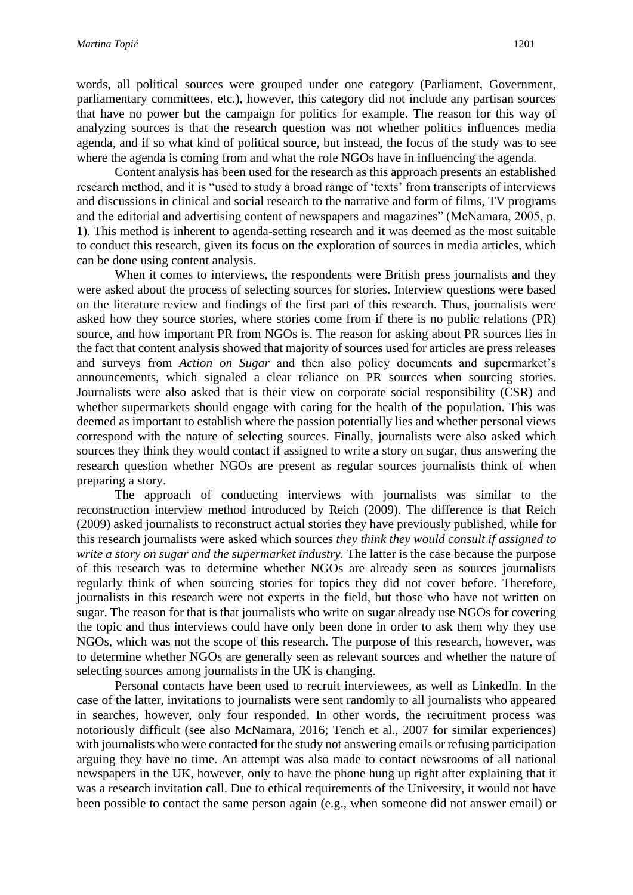words, all political sources were grouped under one category (Parliament, Government, parliamentary committees, etc.), however, this category did not include any partisan sources that have no power but the campaign for politics for example. The reason for this way of analyzing sources is that the research question was not whether politics influences media agenda, and if so what kind of political source, but instead, the focus of the study was to see where the agenda is coming from and what the role NGOs have in influencing the agenda.

Content analysis has been used for the research as this approach presents an established research method, and it is "used to study a broad range of 'texts' from transcripts of interviews and discussions in clinical and social research to the narrative and form of films, TV programs and the editorial and advertising content of newspapers and magazines" (McNamara, 2005, p. 1). This method is inherent to agenda-setting research and it was deemed as the most suitable to conduct this research, given its focus on the exploration of sources in media articles, which can be done using content analysis.

When it comes to interviews, the respondents were British press journalists and they were asked about the process of selecting sources for stories. Interview questions were based on the literature review and findings of the first part of this research. Thus, journalists were asked how they source stories, where stories come from if there is no public relations (PR) source, and how important PR from NGOs is. The reason for asking about PR sources lies in the fact that content analysis showed that majority of sources used for articles are press releases and surveys from *Action on Sugar* and then also policy documents and supermarket's announcements, which signaled a clear reliance on PR sources when sourcing stories. Journalists were also asked that is their view on corporate social responsibility (CSR) and whether supermarkets should engage with caring for the health of the population. This was deemed as important to establish where the passion potentially lies and whether personal views correspond with the nature of selecting sources. Finally, journalists were also asked which sources they think they would contact if assigned to write a story on sugar, thus answering the research question whether NGOs are present as regular sources journalists think of when preparing a story.

The approach of conducting interviews with journalists was similar to the reconstruction interview method introduced by Reich (2009). The difference is that Reich (2009) asked journalists to reconstruct actual stories they have previously published, while for this research journalists were asked which sources *they think they would consult if assigned to write a story on sugar and the supermarket industry.* The latter is the case because the purpose of this research was to determine whether NGOs are already seen as sources journalists regularly think of when sourcing stories for topics they did not cover before. Therefore, journalists in this research were not experts in the field, but those who have not written on sugar. The reason for that is that journalists who write on sugar already use NGOs for covering the topic and thus interviews could have only been done in order to ask them why they use NGOs, which was not the scope of this research. The purpose of this research, however, was to determine whether NGOs are generally seen as relevant sources and whether the nature of selecting sources among journalists in the UK is changing.

Personal contacts have been used to recruit interviewees, as well as LinkedIn. In the case of the latter, invitations to journalists were sent randomly to all journalists who appeared in searches, however, only four responded. In other words, the recruitment process was notoriously difficult (see also McNamara, 2016; Tench et al., 2007 for similar experiences) with journalists who were contacted for the study not answering emails or refusing participation arguing they have no time. An attempt was also made to contact newsrooms of all national newspapers in the UK, however, only to have the phone hung up right after explaining that it was a research invitation call. Due to ethical requirements of the University, it would not have been possible to contact the same person again (e.g., when someone did not answer email) or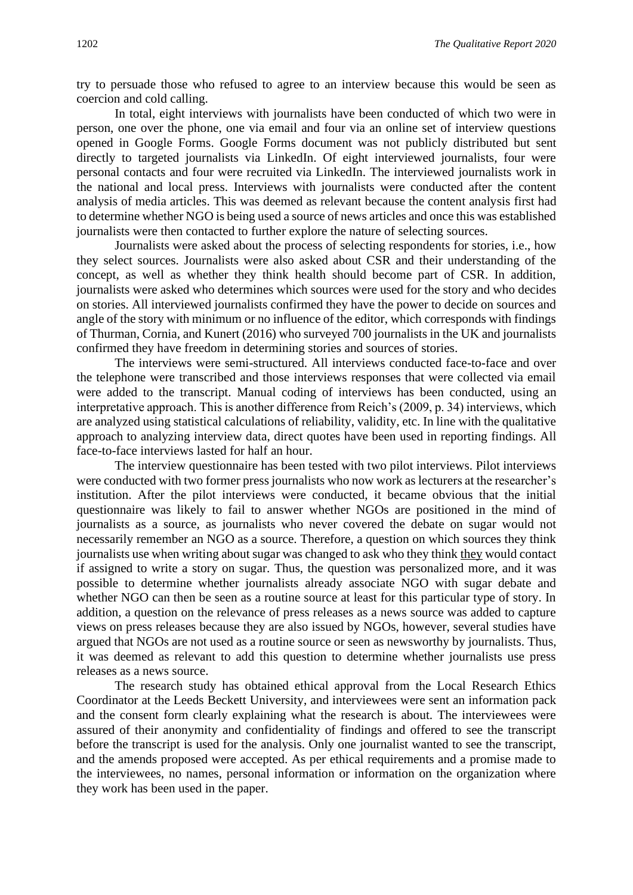try to persuade those who refused to agree to an interview because this would be seen as coercion and cold calling.

In total, eight interviews with journalists have been conducted of which two were in person, one over the phone, one via email and four via an online set of interview questions opened in Google Forms. Google Forms document was not publicly distributed but sent directly to targeted journalists via LinkedIn. Of eight interviewed journalists, four were personal contacts and four were recruited via LinkedIn. The interviewed journalists work in the national and local press. Interviews with journalists were conducted after the content analysis of media articles. This was deemed as relevant because the content analysis first had to determine whether NGO is being used a source of news articles and once this was established journalists were then contacted to further explore the nature of selecting sources.

Journalists were asked about the process of selecting respondents for stories, i.e., how they select sources. Journalists were also asked about CSR and their understanding of the concept, as well as whether they think health should become part of CSR. In addition, journalists were asked who determines which sources were used for the story and who decides on stories. All interviewed journalists confirmed they have the power to decide on sources and angle of the story with minimum or no influence of the editor, which corresponds with findings of Thurman, Cornia, and Kunert (2016) who surveyed 700 journalists in the UK and journalists confirmed they have freedom in determining stories and sources of stories.

The interviews were semi-structured. All interviews conducted face-to-face and over the telephone were transcribed and those interviews responses that were collected via email were added to the transcript. Manual coding of interviews has been conducted, using an interpretative approach. This is another difference from Reich's (2009, p. 34) interviews, which are analyzed using statistical calculations of reliability, validity, etc. In line with the qualitative approach to analyzing interview data, direct quotes have been used in reporting findings. All face-to-face interviews lasted for half an hour.

The interview questionnaire has been tested with two pilot interviews. Pilot interviews were conducted with two former press journalists who now work as lecturers at the researcher's institution. After the pilot interviews were conducted, it became obvious that the initial questionnaire was likely to fail to answer whether NGOs are positioned in the mind of journalists as a source, as journalists who never covered the debate on sugar would not necessarily remember an NGO as a source. Therefore, a question on which sources they think journalists use when writing about sugar was changed to ask who they think they would contact if assigned to write a story on sugar. Thus, the question was personalized more, and it was possible to determine whether journalists already associate NGO with sugar debate and whether NGO can then be seen as a routine source at least for this particular type of story. In addition, a question on the relevance of press releases as a news source was added to capture views on press releases because they are also issued by NGOs, however, several studies have argued that NGOs are not used as a routine source or seen as newsworthy by journalists. Thus, it was deemed as relevant to add this question to determine whether journalists use press releases as a news source.

The research study has obtained ethical approval from the Local Research Ethics Coordinator at the Leeds Beckett University, and interviewees were sent an information pack and the consent form clearly explaining what the research is about. The interviewees were assured of their anonymity and confidentiality of findings and offered to see the transcript before the transcript is used for the analysis. Only one journalist wanted to see the transcript, and the amends proposed were accepted. As per ethical requirements and a promise made to the interviewees, no names, personal information or information on the organization where they work has been used in the paper.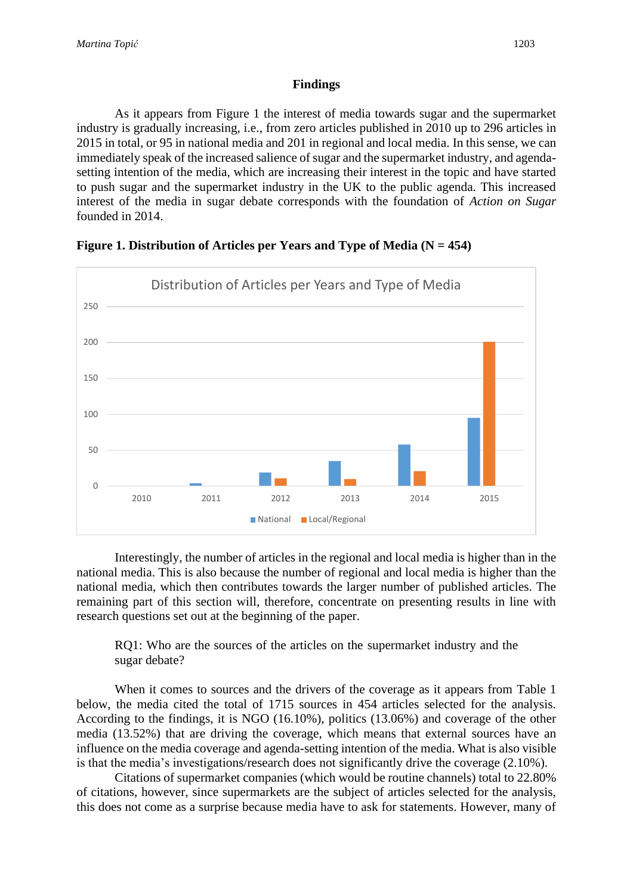#### **Findings**

As it appears from Figure 1 the interest of media towards sugar and the supermarket industry is gradually increasing, i.e., from zero articles published in 2010 up to 296 articles in 2015 in total, or 95 in national media and 201 in regional and local media. In this sense, we can immediately speak of the increased salience of sugar and the supermarket industry, and agendasetting intention of the media, which are increasing their interest in the topic and have started to push sugar and the supermarket industry in the UK to the public agenda. This increased interest of the media in sugar debate corresponds with the foundation of *Action on Sugar*  founded in 2014.



#### **Figure 1. Distribution of Articles per Years and Type of Media (N = 454)**

Interestingly, the number of articles in the regional and local media is higher than in the national media. This is also because the number of regional and local media is higher than the national media, which then contributes towards the larger number of published articles. The remaining part of this section will, therefore, concentrate on presenting results in line with research questions set out at the beginning of the paper.

RQ1: Who are the sources of the articles on the supermarket industry and the sugar debate?

When it comes to sources and the drivers of the coverage as it appears from Table 1 below, the media cited the total of 1715 sources in 454 articles selected for the analysis. According to the findings, it is NGO (16.10%), politics (13.06%) and coverage of the other media (13.52%) that are driving the coverage, which means that external sources have an influence on the media coverage and agenda-setting intention of the media. What is also visible is that the media's investigations/research does not significantly drive the coverage (2.10%).

Citations of supermarket companies (which would be routine channels) total to 22.80% of citations, however, since supermarkets are the subject of articles selected for the analysis, this does not come as a surprise because media have to ask for statements. However, many of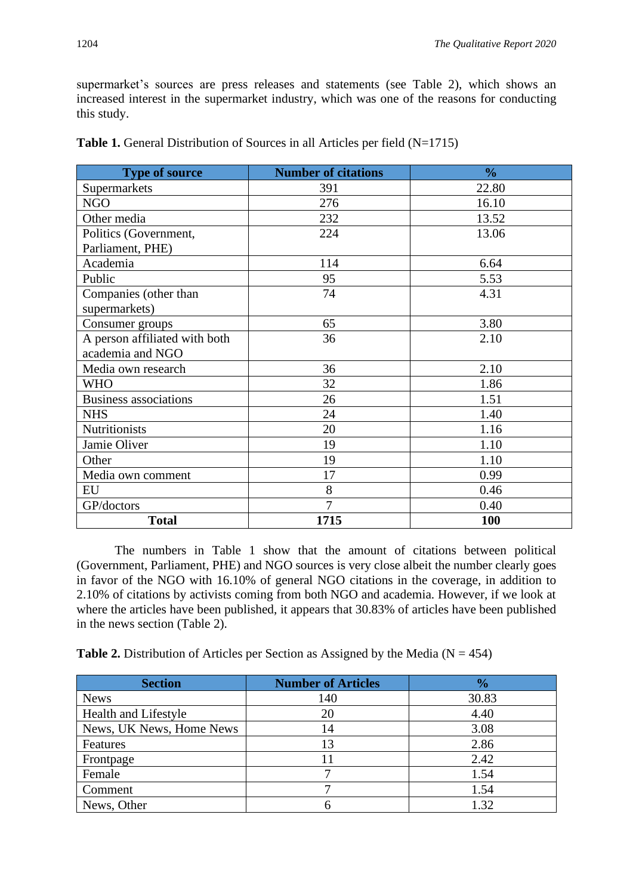supermarket's sources are press releases and statements (see Table 2), which shows an increased interest in the supermarket industry, which was one of the reasons for conducting this study.

| <b>Type of source</b>         | <b>Number of citations</b> | $\frac{0}{0}$ |
|-------------------------------|----------------------------|---------------|
| Supermarkets                  | 391                        | 22.80         |
| <b>NGO</b>                    | 276                        | 16.10         |
| Other media                   | 232                        | 13.52         |
| Politics (Government,         | 224                        | 13.06         |
| Parliament, PHE)              |                            |               |
| Academia                      | 114                        | 6.64          |
| Public                        | 95                         | 5.53          |
| Companies (other than         | 74                         | 4.31          |
| supermarkets)                 |                            |               |
| Consumer groups               | 65                         | 3.80          |
| A person affiliated with both | 36                         | 2.10          |
| academia and NGO              |                            |               |
| Media own research            | 36                         | 2.10          |
| <b>WHO</b>                    | 32                         | 1.86          |
| <b>Business associations</b>  | 26                         | 1.51          |
| <b>NHS</b>                    | 24                         | 1.40          |
| <b>Nutritionists</b>          | 20                         | 1.16          |
| Jamie Oliver                  | 19                         | 1.10          |
| Other                         | 19                         | 1.10          |
| Media own comment             | 17                         | 0.99          |
| EU                            | 8                          | 0.46          |
| GP/doctors                    | $\overline{7}$             | 0.40          |
| <b>Total</b>                  | 1715                       | <b>100</b>    |

|  |  |  |  | <b>Table 1.</b> General Distribution of Sources in all Articles per field $(N=1715)$ |
|--|--|--|--|--------------------------------------------------------------------------------------|
|--|--|--|--|--------------------------------------------------------------------------------------|

The numbers in Table 1 show that the amount of citations between political (Government, Parliament, PHE) and NGO sources is very close albeit the number clearly goes in favor of the NGO with 16.10% of general NGO citations in the coverage, in addition to 2.10% of citations by activists coming from both NGO and academia. However, if we look at where the articles have been published, it appears that 30.83% of articles have been published in the news section (Table 2).

**Table 2.** Distribution of Articles per Section as Assigned by the Media ( $N = 454$ )

| <b>Section</b>           | <b>Number of Articles</b> | $\frac{1}{2}$ |
|--------------------------|---------------------------|---------------|
| <b>News</b>              | 140                       | 30.83         |
| Health and Lifestyle     | 20                        | 4.40          |
| News, UK News, Home News | 14                        | 3.08          |
| Features                 | 13                        | 2.86          |
| Frontpage                |                           | 2.42          |
| Female                   |                           | 1.54          |
| Comment                  |                           | 1.54          |
| News, Other              |                           | 1.32          |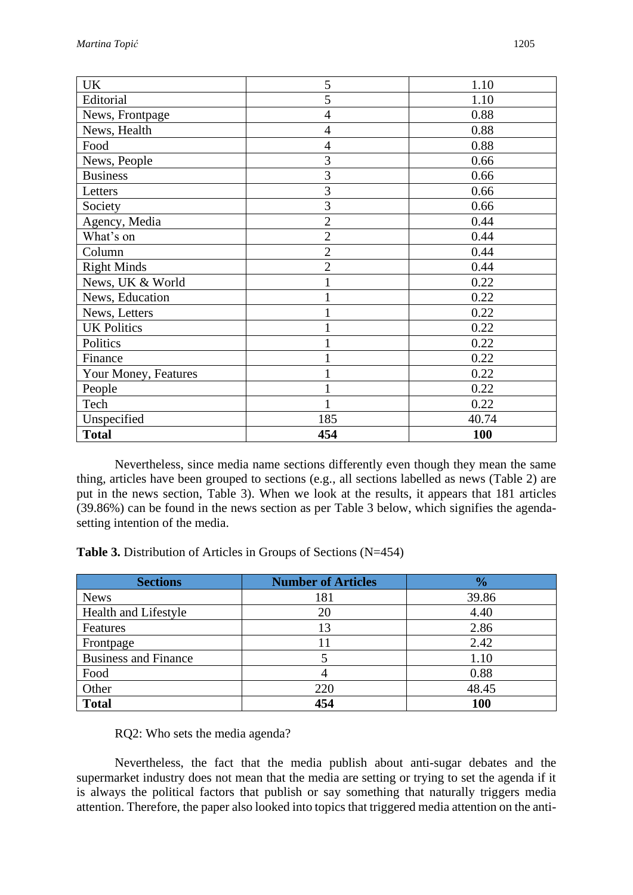| <b>UK</b>            | 5              | 1.10       |
|----------------------|----------------|------------|
| Editorial            | 5              | 1.10       |
| News, Frontpage      | $\overline{4}$ | 0.88       |
| News, Health         | $\overline{4}$ | 0.88       |
| Food                 | $\overline{4}$ | 0.88       |
| News, People         | 3              | 0.66       |
| <b>Business</b>      | 3              | 0.66       |
| Letters              | 3              | 0.66       |
| Society              | 3              | 0.66       |
| Agency, Media        | $\overline{2}$ | 0.44       |
| What's on            | $\overline{2}$ | 0.44       |
| Column               | $\overline{2}$ | 0.44       |
| <b>Right Minds</b>   | $\overline{2}$ | 0.44       |
| News, UK & World     |                | 0.22       |
| News, Education      |                | 0.22       |
| News, Letters        |                | 0.22       |
| <b>UK Politics</b>   |                | 0.22       |
| Politics             |                | 0.22       |
| Finance              |                | 0.22       |
| Your Money, Features |                | 0.22       |
| People               |                | 0.22       |
| Tech                 |                | 0.22       |
| Unspecified          | 185            | 40.74      |
| <b>Total</b>         | 454            | <b>100</b> |

Nevertheless, since media name sections differently even though they mean the same thing, articles have been grouped to sections (e.g., all sections labelled as news (Table 2) are put in the news section, Table 3). When we look at the results, it appears that 181 articles (39.86%) can be found in the news section as per Table 3 below, which signifies the agendasetting intention of the media.

**Table 3.** Distribution of Articles in Groups of Sections (N=454)

| <b>Sections</b>             | <b>Number of Articles</b> | $\frac{1}{2}$ |
|-----------------------------|---------------------------|---------------|
| <b>News</b>                 | 181                       | 39.86         |
| Health and Lifestyle        | 20                        | 4.40          |
| Features                    | 13                        | 2.86          |
| Frontpage                   |                           | 2.42          |
| <b>Business and Finance</b> |                           | 1.10          |
| Food                        |                           | 0.88          |
| Other                       | 220                       | 48.45         |
| <b>Total</b>                | 454                       | 100           |

RQ2: Who sets the media agenda?

Nevertheless, the fact that the media publish about anti-sugar debates and the supermarket industry does not mean that the media are setting or trying to set the agenda if it is always the political factors that publish or say something that naturally triggers media attention. Therefore, the paper also looked into topics that triggered media attention on the anti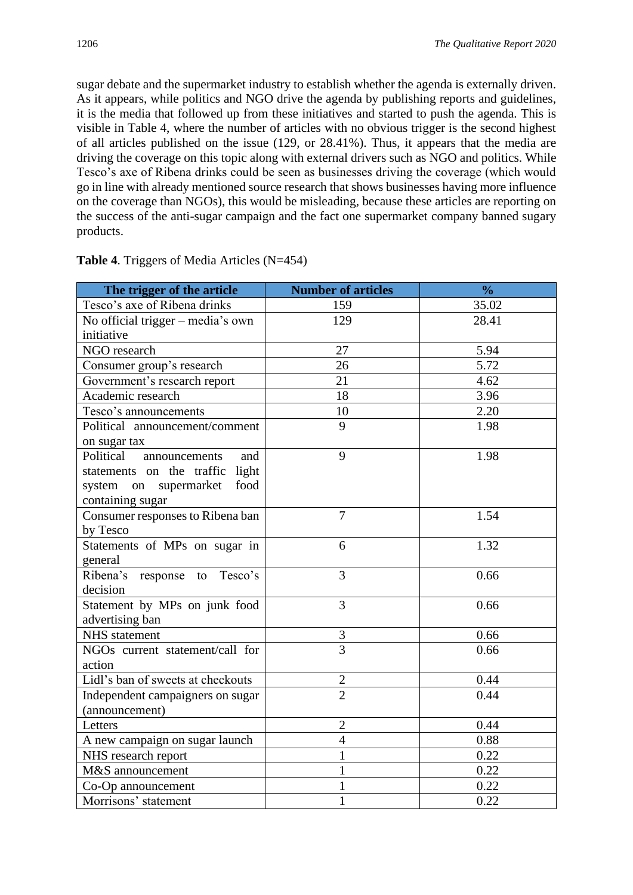sugar debate and the supermarket industry to establish whether the agenda is externally driven. As it appears, while politics and NGO drive the agenda by publishing reports and guidelines, it is the media that followed up from these initiatives and started to push the agenda. This is visible in Table 4, where the number of articles with no obvious trigger is the second highest of all articles published on the issue (129, or 28.41%). Thus, it appears that the media are driving the coverage on this topic along with external drivers such as NGO and politics. While Tesco's axe of Ribena drinks could be seen as businesses driving the coverage (which would go in line with already mentioned source research that shows businesses having more influence on the coverage than NGOs), this would be misleading, because these articles are reporting on the success of the anti-sugar campaign and the fact one supermarket company banned sugary products.

| The trigger of the article        | <b>Number of articles</b> | $\frac{0}{0}$ |
|-----------------------------------|---------------------------|---------------|
| Tesco's axe of Ribena drinks      | 159                       | 35.02         |
| No official trigger – media's own | 129                       | 28.41         |
| initiative                        |                           |               |
| NGO research                      | 27                        | 5.94          |
| Consumer group's research         | 26                        | 5.72          |
| Government's research report      | 21                        | 4.62          |
| Academic research                 | 18                        | 3.96          |
| Tesco's announcements             | 10                        | 2.20          |
| Political announcement/comment    | 9                         | 1.98          |
| on sugar tax                      |                           |               |
| Political<br>announcements<br>and | 9                         | 1.98          |
| statements on the traffic light   |                           |               |
| system on<br>food<br>supermarket  |                           |               |
| containing sugar                  |                           |               |
| Consumer responses to Ribena ban  | $\overline{7}$            | 1.54          |
| by Tesco                          |                           |               |
| Statements of MPs on sugar in     | 6                         | 1.32          |
| general                           |                           |               |
| Ribena's response to Tesco's      | 3                         | 0.66          |
| decision                          |                           |               |
| Statement by MPs on junk food     | 3                         | 0.66          |
| advertising ban                   |                           |               |
| <b>NHS</b> statement              | $\mathfrak{Z}$            | 0.66          |
| NGOs current statement/call for   | $\overline{3}$            | 0.66          |
| action                            |                           |               |
| Lidl's ban of sweets at checkouts | $\overline{c}$            | 0.44          |
| Independent campaigners on sugar  | $\overline{2}$            | 0.44          |
| (announcement)                    |                           |               |
| Letters                           | $\overline{2}$            | 0.44          |
| A new campaign on sugar launch    | $\overline{4}$            | 0.88          |
| NHS research report               | 1                         | 0.22          |
| M&S announcement                  | 1                         | 0.22          |
| Co-Op announcement                | 1                         | 0.22          |
| Morrisons' statement              | 1                         | 0.22          |

**Table 4**. Triggers of Media Articles (N=454)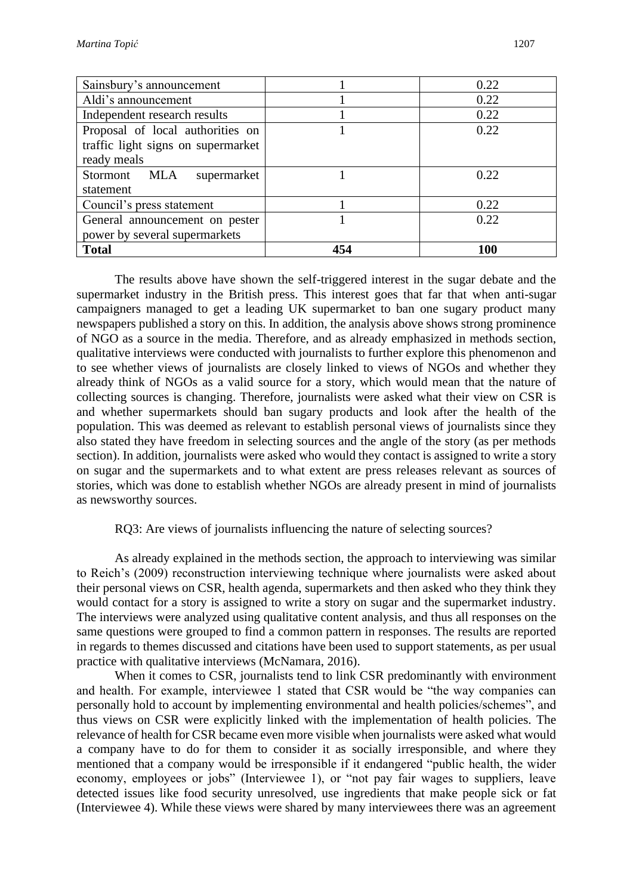| Sainsbury's announcement           |     | 0.22 |
|------------------------------------|-----|------|
| Aldi's announcement                |     | 0.22 |
| Independent research results       |     | 0.22 |
| Proposal of local authorities on   |     | 0.22 |
| traffic light signs on supermarket |     |      |
| ready meals                        |     |      |
| Stormont MLA<br>supermarket        |     | 0.22 |
| statement                          |     |      |
| Council's press statement          |     | 0.22 |
| General announcement on pester     |     | 0.22 |
| power by several supermarkets      |     |      |
| <b>Total</b>                       | 454 | 100  |

The results above have shown the self-triggered interest in the sugar debate and the supermarket industry in the British press. This interest goes that far that when anti-sugar campaigners managed to get a leading UK supermarket to ban one sugary product many newspapers published a story on this. In addition, the analysis above shows strong prominence of NGO as a source in the media. Therefore, and as already emphasized in methods section, qualitative interviews were conducted with journalists to further explore this phenomenon and to see whether views of journalists are closely linked to views of NGOs and whether they already think of NGOs as a valid source for a story, which would mean that the nature of collecting sources is changing. Therefore, journalists were asked what their view on CSR is and whether supermarkets should ban sugary products and look after the health of the population. This was deemed as relevant to establish personal views of journalists since they also stated they have freedom in selecting sources and the angle of the story (as per methods section). In addition, journalists were asked who would they contact is assigned to write a story on sugar and the supermarkets and to what extent are press releases relevant as sources of stories, which was done to establish whether NGOs are already present in mind of journalists as newsworthy sources.

# RQ3: Are views of journalists influencing the nature of selecting sources?

As already explained in the methods section, the approach to interviewing was similar to Reich's (2009) reconstruction interviewing technique where journalists were asked about their personal views on CSR, health agenda, supermarkets and then asked who they think they would contact for a story is assigned to write a story on sugar and the supermarket industry. The interviews were analyzed using qualitative content analysis, and thus all responses on the same questions were grouped to find a common pattern in responses. The results are reported in regards to themes discussed and citations have been used to support statements, as per usual practice with qualitative interviews (McNamara, 2016).

When it comes to CSR, journalists tend to link CSR predominantly with environment and health. For example, interviewee 1 stated that CSR would be "the way companies can personally hold to account by implementing environmental and health policies/schemes", and thus views on CSR were explicitly linked with the implementation of health policies. The relevance of health for CSR became even more visible when journalists were asked what would a company have to do for them to consider it as socially irresponsible, and where they mentioned that a company would be irresponsible if it endangered "public health, the wider economy, employees or jobs" (Interviewee 1), or "not pay fair wages to suppliers, leave detected issues like food security unresolved, use ingredients that make people sick or fat (Interviewee 4). While these views were shared by many interviewees there was an agreement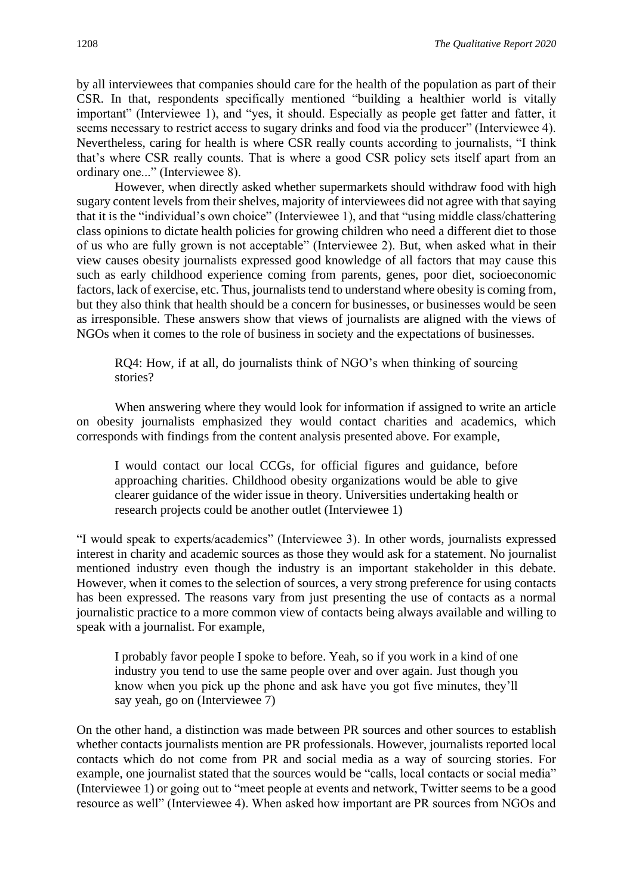by all interviewees that companies should care for the health of the population as part of their CSR. In that, respondents specifically mentioned "building a healthier world is vitally important" (Interviewee 1), and "yes, it should. Especially as people get fatter and fatter, it seems necessary to restrict access to sugary drinks and food via the producer" (Interviewee 4). Nevertheless, caring for health is where CSR really counts according to journalists, "I think that's where CSR really counts. That is where a good CSR policy sets itself apart from an ordinary one..." (Interviewee 8).

However, when directly asked whether supermarkets should withdraw food with high sugary content levels from their shelves, majority of interviewees did not agree with that saying that it is the "individual's own choice" (Interviewee 1), and that "using middle class/chattering class opinions to dictate health policies for growing children who need a different diet to those of us who are fully grown is not acceptable" (Interviewee 2). But, when asked what in their view causes obesity journalists expressed good knowledge of all factors that may cause this such as early childhood experience coming from parents, genes, poor diet, socioeconomic factors, lack of exercise, etc. Thus, journalists tend to understand where obesity is coming from, but they also think that health should be a concern for businesses, or businesses would be seen as irresponsible. These answers show that views of journalists are aligned with the views of NGOs when it comes to the role of business in society and the expectations of businesses.

RQ4: How, if at all, do journalists think of NGO's when thinking of sourcing stories?

When answering where they would look for information if assigned to write an article on obesity journalists emphasized they would contact charities and academics, which corresponds with findings from the content analysis presented above. For example,

I would contact our local CCGs, for official figures and guidance, before approaching charities. Childhood obesity organizations would be able to give clearer guidance of the wider issue in theory. Universities undertaking health or research projects could be another outlet (Interviewee 1)

"I would speak to experts/academics" (Interviewee 3). In other words, journalists expressed interest in charity and academic sources as those they would ask for a statement. No journalist mentioned industry even though the industry is an important stakeholder in this debate. However, when it comes to the selection of sources, a very strong preference for using contacts has been expressed. The reasons vary from just presenting the use of contacts as a normal journalistic practice to a more common view of contacts being always available and willing to speak with a journalist. For example,

I probably favor people I spoke to before. Yeah, so if you work in a kind of one industry you tend to use the same people over and over again. Just though you know when you pick up the phone and ask have you got five minutes, they'll say yeah, go on (Interviewee 7)

On the other hand, a distinction was made between PR sources and other sources to establish whether contacts journalists mention are PR professionals. However, journalists reported local contacts which do not come from PR and social media as a way of sourcing stories. For example, one journalist stated that the sources would be "calls, local contacts or social media" (Interviewee 1) or going out to "meet people at events and network, Twitter seems to be a good resource as well" (Interviewee 4). When asked how important are PR sources from NGOs and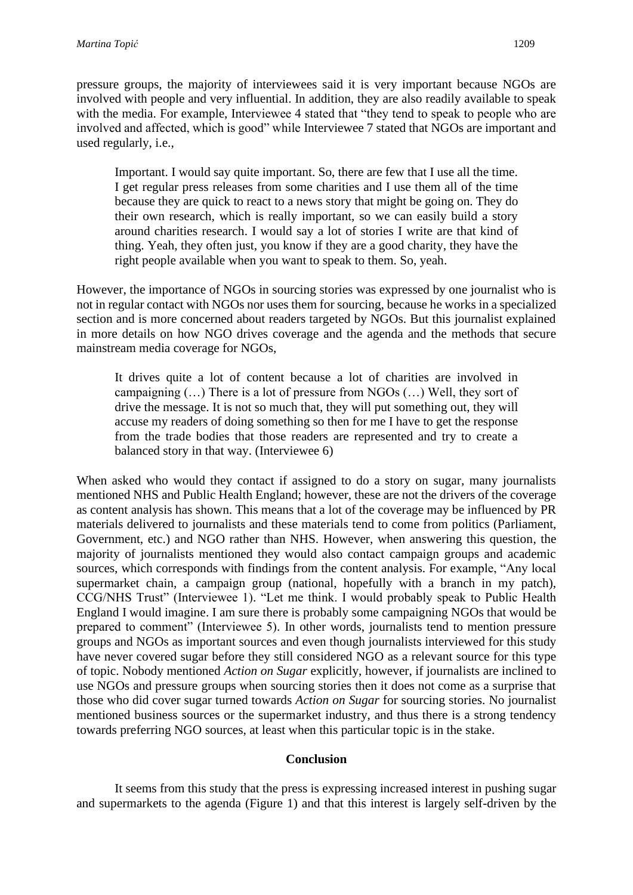pressure groups, the majority of interviewees said it is very important because NGOs are involved with people and very influential. In addition, they are also readily available to speak with the media. For example, Interviewee 4 stated that "they tend to speak to people who are involved and affected, which is good" while Interviewee 7 stated that NGOs are important and used regularly, i.e.,

Important. I would say quite important. So, there are few that I use all the time. I get regular press releases from some charities and I use them all of the time because they are quick to react to a news story that might be going on. They do their own research, which is really important, so we can easily build a story around charities research. I would say a lot of stories I write are that kind of thing. Yeah, they often just, you know if they are a good charity, they have the right people available when you want to speak to them. So, yeah.

However, the importance of NGOs in sourcing stories was expressed by one journalist who is not in regular contact with NGOs nor uses them for sourcing, because he works in a specialized section and is more concerned about readers targeted by NGOs. But this journalist explained in more details on how NGO drives coverage and the agenda and the methods that secure mainstream media coverage for NGOs,

It drives quite a lot of content because a lot of charities are involved in campaigning (…) There is a lot of pressure from NGOs (…) Well, they sort of drive the message. It is not so much that, they will put something out, they will accuse my readers of doing something so then for me I have to get the response from the trade bodies that those readers are represented and try to create a balanced story in that way. (Interviewee 6)

When asked who would they contact if assigned to do a story on sugar, many journalists mentioned NHS and Public Health England; however, these are not the drivers of the coverage as content analysis has shown. This means that a lot of the coverage may be influenced by PR materials delivered to journalists and these materials tend to come from politics (Parliament, Government, etc.) and NGO rather than NHS. However, when answering this question, the majority of journalists mentioned they would also contact campaign groups and academic sources, which corresponds with findings from the content analysis. For example, "Any local supermarket chain, a campaign group (national, hopefully with a branch in my patch), CCG/NHS Trust" (Interviewee 1). "Let me think. I would probably speak to Public Health England I would imagine. I am sure there is probably some campaigning NGOs that would be prepared to comment" (Interviewee 5). In other words, journalists tend to mention pressure groups and NGOs as important sources and even though journalists interviewed for this study have never covered sugar before they still considered NGO as a relevant source for this type of topic. Nobody mentioned *Action on Sugar* explicitly, however, if journalists are inclined to use NGOs and pressure groups when sourcing stories then it does not come as a surprise that those who did cover sugar turned towards *Action on Sugar* for sourcing stories. No journalist mentioned business sources or the supermarket industry, and thus there is a strong tendency towards preferring NGO sources, at least when this particular topic is in the stake.

## **Conclusion**

It seems from this study that the press is expressing increased interest in pushing sugar and supermarkets to the agenda (Figure 1) and that this interest is largely self-driven by the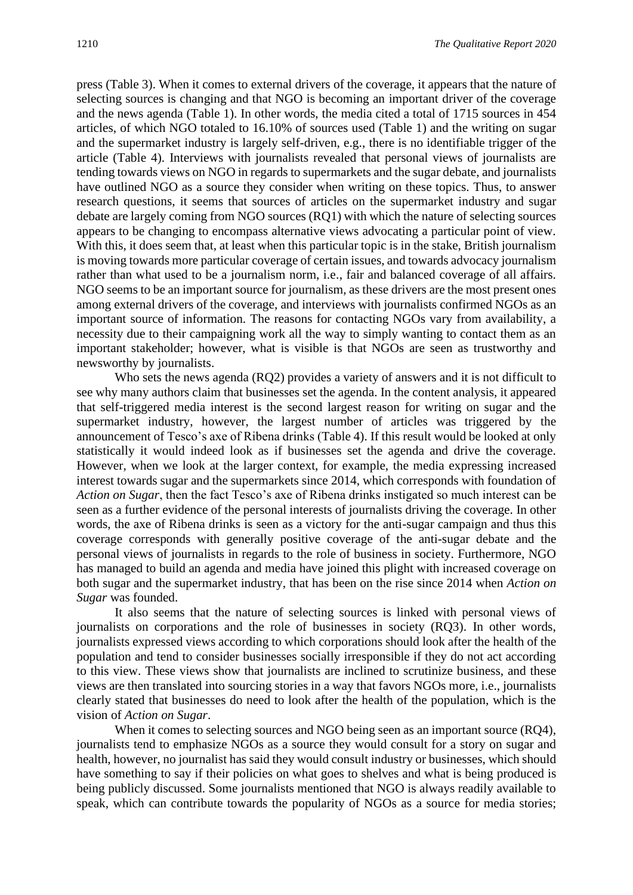press (Table 3). When it comes to external drivers of the coverage, it appears that the nature of selecting sources is changing and that NGO is becoming an important driver of the coverage and the news agenda (Table 1). In other words, the media cited a total of 1715 sources in 454 articles, of which NGO totaled to 16.10% of sources used (Table 1) and the writing on sugar and the supermarket industry is largely self-driven, e.g., there is no identifiable trigger of the article (Table 4). Interviews with journalists revealed that personal views of journalists are tending towards views on NGO in regards to supermarkets and the sugar debate, and journalists have outlined NGO as a source they consider when writing on these topics. Thus, to answer research questions, it seems that sources of articles on the supermarket industry and sugar debate are largely coming from NGO sources (RQ1) with which the nature of selecting sources appears to be changing to encompass alternative views advocating a particular point of view. With this, it does seem that, at least when this particular topic is in the stake, British journalism is moving towards more particular coverage of certain issues, and towards advocacy journalism rather than what used to be a journalism norm, i.e., fair and balanced coverage of all affairs. NGO seems to be an important source for journalism, as these drivers are the most present ones among external drivers of the coverage, and interviews with journalists confirmed NGOs as an important source of information. The reasons for contacting NGOs vary from availability, a necessity due to their campaigning work all the way to simply wanting to contact them as an important stakeholder; however, what is visible is that NGOs are seen as trustworthy and newsworthy by journalists.

Who sets the news agenda (RQ2) provides a variety of answers and it is not difficult to see why many authors claim that businesses set the agenda. In the content analysis, it appeared that self-triggered media interest is the second largest reason for writing on sugar and the supermarket industry, however, the largest number of articles was triggered by the announcement of Tesco's axe of Ribena drinks (Table 4). If this result would be looked at only statistically it would indeed look as if businesses set the agenda and drive the coverage. However, when we look at the larger context, for example, the media expressing increased interest towards sugar and the supermarkets since 2014, which corresponds with foundation of *Action on Sugar*, then the fact Tesco's axe of Ribena drinks instigated so much interest can be seen as a further evidence of the personal interests of journalists driving the coverage. In other words, the axe of Ribena drinks is seen as a victory for the anti-sugar campaign and thus this coverage corresponds with generally positive coverage of the anti-sugar debate and the personal views of journalists in regards to the role of business in society. Furthermore, NGO has managed to build an agenda and media have joined this plight with increased coverage on both sugar and the supermarket industry, that has been on the rise since 2014 when *Action on Sugar* was founded.

It also seems that the nature of selecting sources is linked with personal views of journalists on corporations and the role of businesses in society (RQ3). In other words, journalists expressed views according to which corporations should look after the health of the population and tend to consider businesses socially irresponsible if they do not act according to this view. These views show that journalists are inclined to scrutinize business, and these views are then translated into sourcing stories in a way that favors NGOs more, i.e., journalists clearly stated that businesses do need to look after the health of the population, which is the vision of *Action on Sugar*.

When it comes to selecting sources and NGO being seen as an important source (RQ4), journalists tend to emphasize NGOs as a source they would consult for a story on sugar and health, however, no journalist has said they would consult industry or businesses, which should have something to say if their policies on what goes to shelves and what is being produced is being publicly discussed. Some journalists mentioned that NGO is always readily available to speak, which can contribute towards the popularity of NGOs as a source for media stories;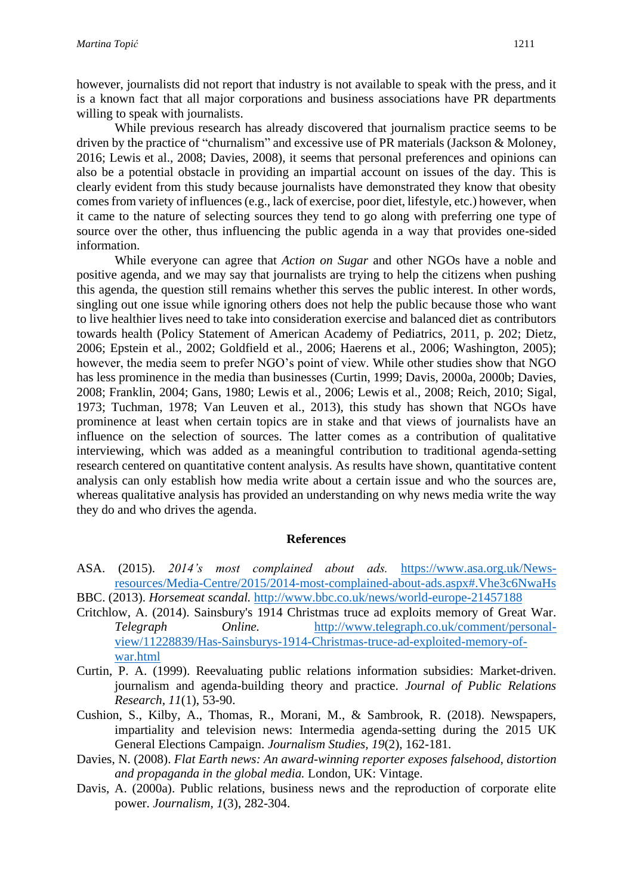however, journalists did not report that industry is not available to speak with the press, and it is a known fact that all major corporations and business associations have PR departments willing to speak with journalists.

While previous research has already discovered that journalism practice seems to be driven by the practice of "churnalism" and excessive use of PR materials (Jackson & Moloney, 2016; Lewis et al., 2008; Davies, 2008), it seems that personal preferences and opinions can also be a potential obstacle in providing an impartial account on issues of the day. This is clearly evident from this study because journalists have demonstrated they know that obesity comes from variety of influences (e.g., lack of exercise, poor diet, lifestyle, etc.) however, when it came to the nature of selecting sources they tend to go along with preferring one type of source over the other, thus influencing the public agenda in a way that provides one-sided information.

While everyone can agree that *Action on Sugar* and other NGOs have a noble and positive agenda, and we may say that journalists are trying to help the citizens when pushing this agenda, the question still remains whether this serves the public interest. In other words, singling out one issue while ignoring others does not help the public because those who want to live healthier lives need to take into consideration exercise and balanced diet as contributors towards health (Policy Statement of American Academy of Pediatrics, 2011, p. 202; Dietz, 2006; Epstein et al., 2002; Goldfield et al., 2006; Haerens et al., 2006; Washington, 2005); however, the media seem to prefer NGO's point of view. While other studies show that NGO has less prominence in the media than businesses (Curtin, 1999; Davis, 2000a, 2000b; Davies, 2008; Franklin, 2004; Gans, 1980; Lewis et al., 2006; Lewis et al., 2008; Reich, 2010; Sigal, 1973; Tuchman, 1978; Van Leuven et al., 2013), this study has shown that NGOs have prominence at least when certain topics are in stake and that views of journalists have an influence on the selection of sources. The latter comes as a contribution of qualitative interviewing, which was added as a meaningful contribution to traditional agenda-setting research centered on quantitative content analysis. As results have shown, quantitative content analysis can only establish how media write about a certain issue and who the sources are, whereas qualitative analysis has provided an understanding on why news media write the way they do and who drives the agenda.

#### **References**

- ASA. (2015). *2014's most complained about ads.* [https://www.asa.org.uk/News](https://www.asa.org.uk/News-resources/Media-Centre/2015/2014-most-complained-about-ads.aspx#.Vhe3c6NwaHs)[resources/Media-Centre/2015/2014-most-complained-about-ads.aspx#.Vhe3c6NwaHs](https://www.asa.org.uk/News-resources/Media-Centre/2015/2014-most-complained-about-ads.aspx#.Vhe3c6NwaHs) BBC. (2013). *Horsemeat scandal.* <http://www.bbc.co.uk/news/world-europe-21457188>
- Critchlow, A. (2014). Sainsbury's 1914 Christmas truce ad exploits memory of Great War. *Telegraph Online.* [http://www.telegraph.co.uk/comment/personal](http://www.telegraph.co.uk/comment/personal-view/11228839/Has-Sainsburys-1914-Christmas-truce-ad-exploited-memory-of-war.html)[view/11228839/Has-Sainsburys-1914-Christmas-truce-ad-exploited-memory-of](http://www.telegraph.co.uk/comment/personal-view/11228839/Has-Sainsburys-1914-Christmas-truce-ad-exploited-memory-of-war.html)[war.html](http://www.telegraph.co.uk/comment/personal-view/11228839/Has-Sainsburys-1914-Christmas-truce-ad-exploited-memory-of-war.html)
- Curtin, P. A. (1999). Reevaluating public relations information subsidies: Market-driven. journalism and agenda-building theory and practice. *Journal of Public Relations Research, 11*(1), 53-90.
- Cushion, S., Kilby, A., Thomas, R., Morani, M., & Sambrook, R. (2018). Newspapers, impartiality and television news: Intermedia agenda-setting during the 2015 UK General Elections Campaign. *Journalism Studies, 19*(2), 162-181.
- Davies, N. (2008). *Flat Earth news: An award-winning reporter exposes falsehood, distortion and propaganda in the global media.* London, UK: Vintage.
- Davis, A. (2000a). Public relations, business news and the reproduction of corporate elite power. *Journalism, 1*(3), 282-304.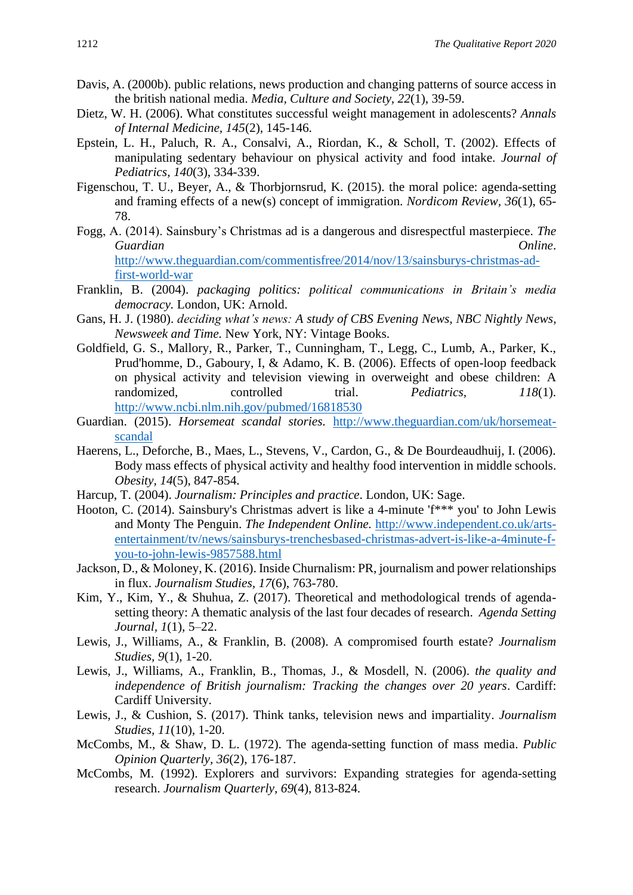- Davis, A. (2000b). public relations, news production and changing patterns of source access in the british national media. *Media, Culture and Society, 22*(1), 39-59.
- Dietz, W. H. (2006). What constitutes successful weight management in adolescents? *Annals of Internal Medicine, 145*(2), 145-146.
- Epstein, L. H., Paluch, R. A., Consalvi, A., Riordan, K., & Scholl, T. (2002). Effects of manipulating sedentary behaviour on physical activity and food intake. *Journal of Pediatrics, 140*(3), 334-339.
- Figenschou, T. U., Beyer, A., & Thorbjornsrud, K. (2015). the moral police: agenda-setting and framing effects of a new(s) concept of immigration. *Nordicom Review, 36*(1), 65- 78.
- Fogg, A. (2014). Sainsbury's Christmas ad is a dangerous and disrespectful masterpiece. *The Guardian Online*. [http://www.theguardian.com/commentisfree/2014/nov/13/sainsburys-christmas-ad](http://www.theguardian.com/commentisfree/2014/nov/13/sainsburys-christmas-ad-first-world-war)[first-world-war](http://www.theguardian.com/commentisfree/2014/nov/13/sainsburys-christmas-ad-first-world-war)
- Franklin, B. (2004). *packaging politics: political communications in Britain's media democracy.* London, UK: Arnold.
- Gans, H. J. (1980). *deciding what's news: A study of CBS Evening News, NBC Nightly News, Newsweek and Time.* New York, NY: Vintage Books.
- Goldfield, G. S., Mallory, R., Parker, T., Cunningham, T., Legg, C., Lumb, A., Parker, K., Prud'homme, D., Gaboury, I, & Adamo, K. B. (2006). Effects of open-loop feedback on physical activity and television viewing in overweight and obese children: A randomized, controlled trial. *Pediatrics, 118*(1). <http://www.ncbi.nlm.nih.gov/pubmed/16818530>
- Guardian. (2015). *Horsemeat scandal stories.* [http://www.theguardian.com/uk/horsemeat](http://www.theguardian.com/uk/horsemeat-scandal)[scandal](http://www.theguardian.com/uk/horsemeat-scandal)
- Haerens, L., Deforche, B., Maes, L., Stevens, V., Cardon, G., & De Bourdeaudhuij, I. (2006). Body mass effects of physical activity and healthy food intervention in middle schools. *Obesity, 14*(5), 847-854.
- Harcup, T. (2004). *Journalism: Principles and practice*. London, UK: Sage.
- Hooton, C. (2014). Sainsbury's Christmas advert is like a 4-minute 'f\*\*\* you' to John Lewis and Monty The Penguin. *The Independent Online.* [http://www.independent.co.uk/arts](http://www.independent.co.uk/arts-entertainment/tv/news/sainsburys-trenchesbased-christmas-advert-is-like-a-4minute-f-you-to-john-lewis-9857588.html)[entertainment/tv/news/sainsburys-trenchesbased-christmas-advert-is-like-a-4minute-f](http://www.independent.co.uk/arts-entertainment/tv/news/sainsburys-trenchesbased-christmas-advert-is-like-a-4minute-f-you-to-john-lewis-9857588.html)[you-to-john-lewis-9857588.html](http://www.independent.co.uk/arts-entertainment/tv/news/sainsburys-trenchesbased-christmas-advert-is-like-a-4minute-f-you-to-john-lewis-9857588.html)
- Jackson, D., & Moloney, K. (2016). Inside Churnalism: PR, journalism and power relationships in flux. *Journalism Studies, 17*(6), 763-780.
- Kim, Y., Kim, Y., & Shuhua, Z. (2017). Theoretical and methodological trends of agendasetting theory: A thematic analysis of the last four decades of research. *Agenda Setting Journal, 1*(1), 5–22.
- Lewis, J., Williams, A., & Franklin, B. (2008). A compromised fourth estate? *Journalism Studies, 9*(1), 1-20.
- Lewis, J., Williams, A., Franklin, B., Thomas, J., & Mosdell, N. (2006). *the quality and independence of British journalism: Tracking the changes over 20 years*. Cardiff: Cardiff University.
- Lewis, J., & Cushion, S. (2017). Think tanks, television news and impartiality. *Journalism Studies, 11*(10), 1-20.
- McCombs, M., & Shaw, D. L. (1972). The agenda-setting function of mass media. *Public Opinion Quarterly, 36*(2), 176-187.
- McCombs, M. (1992). Explorers and survivors: Expanding strategies for agenda-setting research. *Journalism Quarterly, 69*(4), 813-824.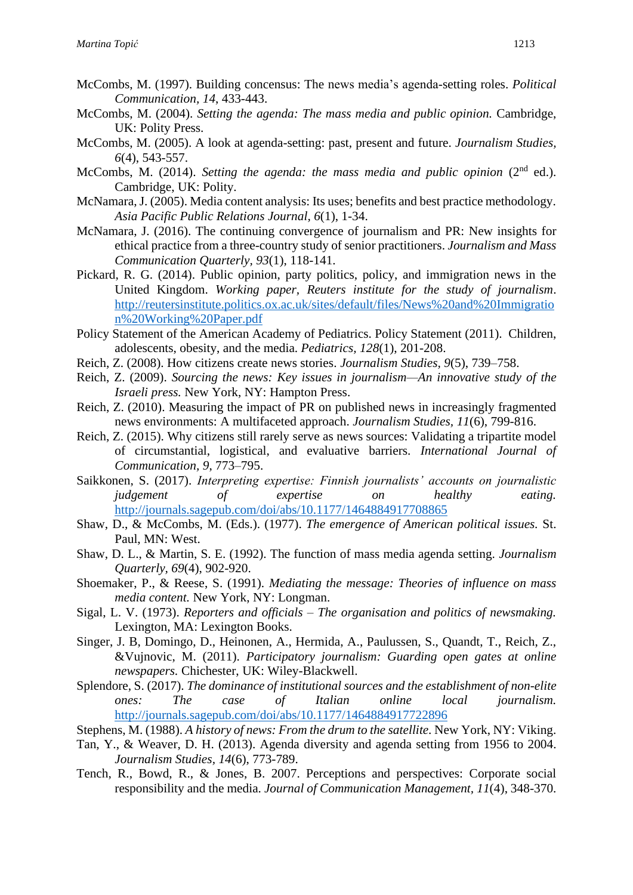- McCombs, M. (1997). Building concensus: The news media's agenda-setting roles. *Political Communication, 14*, 433-443.
- McCombs, M. (2004). *Setting the agenda: The mass media and public opinion.* Cambridge, UK: Polity Press.
- McCombs, M. (2005). A look at agenda-setting: past, present and future. *Journalism Studies, 6*(4), 543-557.
- McCombs, M. (2014). *Setting the agenda: the mass media and public opinion* (2<sup>nd</sup> ed.). Cambridge, UK: Polity.
- McNamara, J. (2005). Media content analysis: Its uses; benefits and best practice methodology. *Asia Pacific Public Relations Journal, 6*(1), 1-34.
- McNamara, J. (2016). The continuing convergence of journalism and PR: New insights for ethical practice from a three-country study of senior practitioners. *Journalism and Mass Communication Quarterly, 93*(1), 118-141.
- Pickard, R. G. (2014). Public opinion, party politics, policy, and immigration news in the United Kingdom. *Working paper, Reuters institute for the study of journalism*. [http://reutersinstitute.politics.ox.ac.uk/sites/default/files/News%20and%20Immigratio](http://reutersinstitute.politics.ox.ac.uk/sites/default/files/News%20and%20Immigration%20Working%20Paper.pdf) [n%20Working%20Paper.pdf](http://reutersinstitute.politics.ox.ac.uk/sites/default/files/News%20and%20Immigration%20Working%20Paper.pdf)
- Policy Statement of the American Academy of Pediatrics. Policy Statement (2011). Children, adolescents, obesity, and the media. *Pediatrics, 128*(1), 201-208.
- Reich, Z. (2008). How citizens create news stories. *Journalism Studies, 9*(5), 739–758.
- Reich, Z. (2009). *Sourcing the news: Key issues in journalism—An innovative study of the Israeli press.* New York, NY: Hampton Press.
- Reich, Z. (2010). Measuring the impact of PR on published news in increasingly fragmented news environments: A multifaceted approach. *Journalism Studies, 11*(6), 799-816.
- Reich, Z. (2015). Why citizens still rarely serve as news sources: Validating a tripartite model of circumstantial, logistical, and evaluative barriers. *International Journal of Communication, 9*, 773–795.
- Saikkonen, S. (2017). *Interpreting expertise: Finnish journalists' accounts on journalistic judgement of expertise on healthy eating.* <http://journals.sagepub.com/doi/abs/10.1177/1464884917708865>
- Shaw, D., & McCombs, M. (Eds.). (1977). *The emergence of American political issues.* St. Paul, MN: West.
- Shaw, D. L., & Martin, S. E. (1992). The function of mass media agenda setting. *Journalism Quarterly, 69*(4), 902-920.
- Shoemaker, P., & Reese, S. (1991). *Mediating the message: Theories of influence on mass media content.* New York, NY: Longman.
- Sigal, L. V. (1973). *Reporters and officials – The organisation and politics of newsmaking.* Lexington, MA: Lexington Books.
- Singer, J. B, Domingo, D., Heinonen, A., Hermida, A., Paulussen, S., Quandt, T., Reich, Z., &Vujnovic, M. (2011). *Participatory journalism: Guarding open gates at online newspapers.* Chichester, UK: Wiley-Blackwell.
- Splendore, S. (2017). *The dominance of institutional sources and the establishment of non-elite ones: The case of Italian online local journalism.*  <http://journals.sagepub.com/doi/abs/10.1177/1464884917722896>
- Stephens, M. (1988). *A history of news: From the drum to the satellite.* New York, NY: Viking.
- Tan, Y., & Weaver, D. H. (2013). Agenda diversity and agenda setting from 1956 to 2004. *Journalism Studies, 14*(6), 773-789.
- Tench, R., Bowd, R., & Jones, B. 2007. Perceptions and perspectives: Corporate social responsibility and the media. *Journal of Communication Management, 11*(4), 348-370.